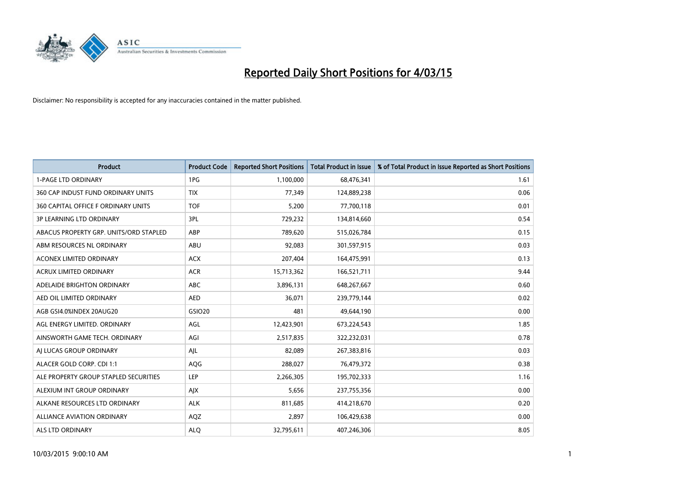

| <b>Product</b>                         | <b>Product Code</b> | <b>Reported Short Positions</b> | <b>Total Product in Issue</b> | % of Total Product in Issue Reported as Short Positions |
|----------------------------------------|---------------------|---------------------------------|-------------------------------|---------------------------------------------------------|
| <b>1-PAGE LTD ORDINARY</b>             | 1PG                 | 1,100,000                       | 68,476,341                    | 1.61                                                    |
| 360 CAP INDUST FUND ORDINARY UNITS     | <b>TIX</b>          | 77,349                          | 124,889,238                   | 0.06                                                    |
| 360 CAPITAL OFFICE F ORDINARY UNITS    | <b>TOF</b>          | 5,200                           | 77,700,118                    | 0.01                                                    |
| <b>3P LEARNING LTD ORDINARY</b>        | 3PL                 | 729,232                         | 134,814,660                   | 0.54                                                    |
| ABACUS PROPERTY GRP. UNITS/ORD STAPLED | ABP                 | 789,620                         | 515,026,784                   | 0.15                                                    |
| ABM RESOURCES NL ORDINARY              | ABU                 | 92,083                          | 301,597,915                   | 0.03                                                    |
| <b>ACONEX LIMITED ORDINARY</b>         | <b>ACX</b>          | 207,404                         | 164,475,991                   | 0.13                                                    |
| ACRUX LIMITED ORDINARY                 | <b>ACR</b>          | 15,713,362                      | 166,521,711                   | 9.44                                                    |
| ADELAIDE BRIGHTON ORDINARY             | <b>ABC</b>          | 3,896,131                       | 648,267,667                   | 0.60                                                    |
| AED OIL LIMITED ORDINARY               | <b>AED</b>          | 36,071                          | 239,779,144                   | 0.02                                                    |
| AGB GSI4.0%INDEX 20AUG20               | GSIO20              | 481                             | 49,644,190                    | 0.00                                                    |
| AGL ENERGY LIMITED. ORDINARY           | AGL                 | 12,423,901                      | 673,224,543                   | 1.85                                                    |
| AINSWORTH GAME TECH. ORDINARY          | AGI                 | 2,517,835                       | 322,232,031                   | 0.78                                                    |
| AI LUCAS GROUP ORDINARY                | AJL                 | 82,089                          | 267,383,816                   | 0.03                                                    |
| ALACER GOLD CORP. CDI 1:1              | AQG                 | 288,027                         | 76,479,372                    | 0.38                                                    |
| ALE PROPERTY GROUP STAPLED SECURITIES  | LEP                 | 2,266,305                       | 195,702,333                   | 1.16                                                    |
| ALEXIUM INT GROUP ORDINARY             | AJX                 | 5,656                           | 237,755,356                   | 0.00                                                    |
| ALKANE RESOURCES LTD ORDINARY          | <b>ALK</b>          | 811,685                         | 414,218,670                   | 0.20                                                    |
| ALLIANCE AVIATION ORDINARY             | AQZ                 | 2,897                           | 106,429,638                   | 0.00                                                    |
| <b>ALS LTD ORDINARY</b>                | <b>ALO</b>          | 32,795,611                      | 407,246,306                   | 8.05                                                    |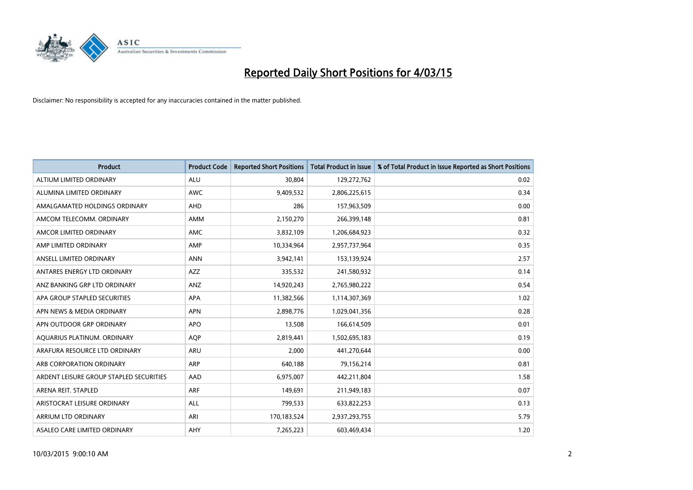

| <b>Product</b>                          | <b>Product Code</b> | <b>Reported Short Positions</b> | <b>Total Product in Issue</b> | % of Total Product in Issue Reported as Short Positions |
|-----------------------------------------|---------------------|---------------------------------|-------------------------------|---------------------------------------------------------|
| ALTIUM LIMITED ORDINARY                 | <b>ALU</b>          | 30,804                          | 129,272,762                   | 0.02                                                    |
| ALUMINA LIMITED ORDINARY                | AWC                 | 9,409,532                       | 2,806,225,615                 | 0.34                                                    |
| AMALGAMATED HOLDINGS ORDINARY           | AHD                 | 286                             | 157,963,509                   | 0.00                                                    |
| AMCOM TELECOMM. ORDINARY                | AMM                 | 2,150,270                       | 266,399,148                   | 0.81                                                    |
| AMCOR LIMITED ORDINARY                  | AMC                 | 3,832,109                       | 1,206,684,923                 | 0.32                                                    |
| AMP LIMITED ORDINARY                    | AMP                 | 10,334,964                      | 2,957,737,964                 | 0.35                                                    |
| ANSELL LIMITED ORDINARY                 | <b>ANN</b>          | 3,942,141                       | 153,139,924                   | 2.57                                                    |
| ANTARES ENERGY LTD ORDINARY             | AZZ                 | 335,532                         | 241,580,932                   | 0.14                                                    |
| ANZ BANKING GRP LTD ORDINARY            | ANZ                 | 14,920,243                      | 2,765,980,222                 | 0.54                                                    |
| APA GROUP STAPLED SECURITIES            | <b>APA</b>          | 11,382,566                      | 1,114,307,369                 | 1.02                                                    |
| APN NEWS & MEDIA ORDINARY               | <b>APN</b>          | 2,898,776                       | 1,029,041,356                 | 0.28                                                    |
| APN OUTDOOR GRP ORDINARY                | <b>APO</b>          | 13,508                          | 166,614,509                   | 0.01                                                    |
| AQUARIUS PLATINUM. ORDINARY             | <b>AOP</b>          | 2,819,441                       | 1,502,695,183                 | 0.19                                                    |
| ARAFURA RESOURCE LTD ORDINARY           | ARU                 | 2,000                           | 441,270,644                   | 0.00                                                    |
| ARB CORPORATION ORDINARY                | <b>ARP</b>          | 640,188                         | 79,156,214                    | 0.81                                                    |
| ARDENT LEISURE GROUP STAPLED SECURITIES | AAD                 | 6,975,007                       | 442,211,804                   | 1.58                                                    |
| ARENA REIT. STAPLED                     | <b>ARF</b>          | 149,691                         | 211,949,183                   | 0.07                                                    |
| ARISTOCRAT LEISURE ORDINARY             | <b>ALL</b>          | 799,533                         | 633,822,253                   | 0.13                                                    |
| ARRIUM LTD ORDINARY                     | ARI                 | 170,183,524                     | 2,937,293,755                 | 5.79                                                    |
| ASALEO CARE LIMITED ORDINARY            | AHY                 | 7,265,223                       | 603,469,434                   | 1.20                                                    |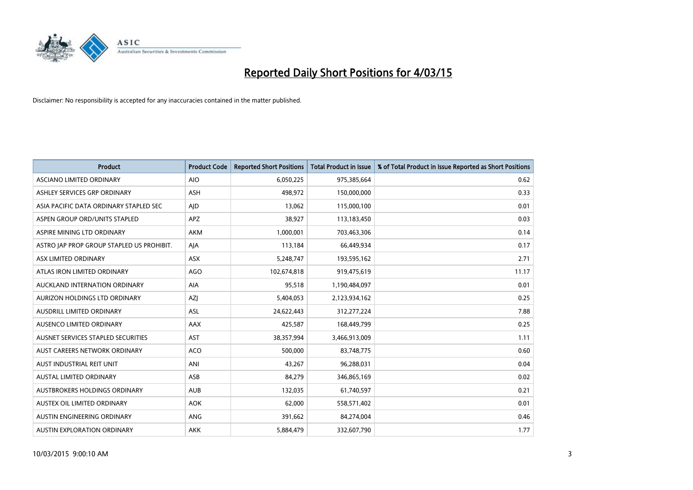

| <b>Product</b>                            | <b>Product Code</b> | <b>Reported Short Positions</b> | <b>Total Product in Issue</b> | % of Total Product in Issue Reported as Short Positions |
|-------------------------------------------|---------------------|---------------------------------|-------------------------------|---------------------------------------------------------|
| <b>ASCIANO LIMITED ORDINARY</b>           | <b>AIO</b>          | 6,050,225                       | 975,385,664                   | 0.62                                                    |
| ASHLEY SERVICES GRP ORDINARY              | <b>ASH</b>          | 498,972                         | 150,000,000                   | 0.33                                                    |
| ASIA PACIFIC DATA ORDINARY STAPLED SEC    | AJD                 | 13,062                          | 115,000,100                   | 0.01                                                    |
| ASPEN GROUP ORD/UNITS STAPLED             | <b>APZ</b>          | 38,927                          | 113,183,450                   | 0.03                                                    |
| ASPIRE MINING LTD ORDINARY                | <b>AKM</b>          | 1,000,001                       | 703,463,306                   | 0.14                                                    |
| ASTRO JAP PROP GROUP STAPLED US PROHIBIT. | AJA                 | 113,184                         | 66,449,934                    | 0.17                                                    |
| ASX LIMITED ORDINARY                      | ASX                 | 5,248,747                       | 193,595,162                   | 2.71                                                    |
| ATLAS IRON LIMITED ORDINARY               | <b>AGO</b>          | 102,674,818                     | 919,475,619                   | 11.17                                                   |
| AUCKLAND INTERNATION ORDINARY             | <b>AIA</b>          | 95,518                          | 1,190,484,097                 | 0.01                                                    |
| AURIZON HOLDINGS LTD ORDINARY             | AZJ                 | 5,404,053                       | 2,123,934,162                 | 0.25                                                    |
| AUSDRILL LIMITED ORDINARY                 | ASL                 | 24,622,443                      | 312,277,224                   | 7.88                                                    |
| AUSENCO LIMITED ORDINARY                  | AAX                 | 425,587                         | 168,449,799                   | 0.25                                                    |
| AUSNET SERVICES STAPLED SECURITIES        | <b>AST</b>          | 38,357,994                      | 3,466,913,009                 | 1.11                                                    |
| AUST CAREERS NETWORK ORDINARY             | <b>ACO</b>          | 500,000                         | 83,748,775                    | 0.60                                                    |
| AUST INDUSTRIAL REIT UNIT                 | ANI                 | 43,267                          | 96,288,031                    | 0.04                                                    |
| AUSTAL LIMITED ORDINARY                   | ASB                 | 84,279                          | 346,865,169                   | 0.02                                                    |
| AUSTBROKERS HOLDINGS ORDINARY             | <b>AUB</b>          | 132,035                         | 61,740,597                    | 0.21                                                    |
| AUSTEX OIL LIMITED ORDINARY               | <b>AOK</b>          | 62,000                          | 558,571,402                   | 0.01                                                    |
| AUSTIN ENGINEERING ORDINARY               | ANG                 | 391,662                         | 84,274,004                    | 0.46                                                    |
| AUSTIN EXPLORATION ORDINARY               | <b>AKK</b>          | 5,884,479                       | 332,607,790                   | 1.77                                                    |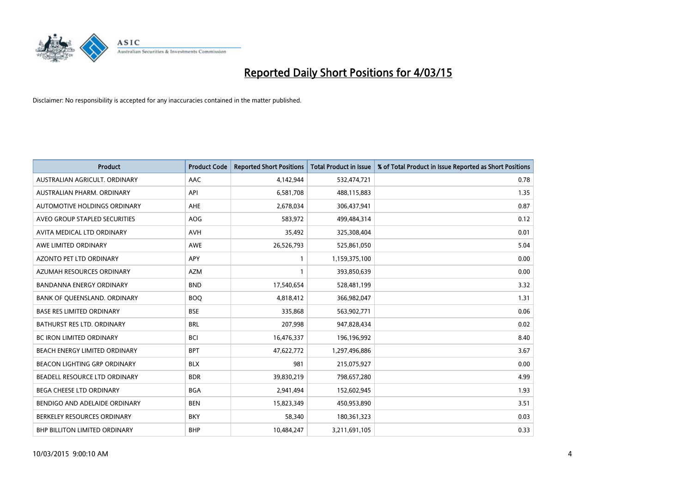

| <b>Product</b>                       | <b>Product Code</b> | <b>Reported Short Positions</b> | <b>Total Product in Issue</b> | % of Total Product in Issue Reported as Short Positions |
|--------------------------------------|---------------------|---------------------------------|-------------------------------|---------------------------------------------------------|
| AUSTRALIAN AGRICULT, ORDINARY        | AAC                 | 4,142,944                       | 532,474,721                   | 0.78                                                    |
| AUSTRALIAN PHARM, ORDINARY           | API                 | 6,581,708                       | 488,115,883                   | 1.35                                                    |
| AUTOMOTIVE HOLDINGS ORDINARY         | AHE                 | 2,678,034                       | 306,437,941                   | 0.87                                                    |
| AVEO GROUP STAPLED SECURITIES        | AOG                 | 583,972                         | 499,484,314                   | 0.12                                                    |
| AVITA MEDICAL LTD ORDINARY           | <b>AVH</b>          | 35,492                          | 325,308,404                   | 0.01                                                    |
| AWE LIMITED ORDINARY                 | AWE                 | 26,526,793                      | 525,861,050                   | 5.04                                                    |
| AZONTO PET LTD ORDINARY              | APY                 | 1                               | 1,159,375,100                 | 0.00                                                    |
| AZUMAH RESOURCES ORDINARY            | <b>AZM</b>          | 1                               | 393,850,639                   | 0.00                                                    |
| <b>BANDANNA ENERGY ORDINARY</b>      | <b>BND</b>          | 17,540,654                      | 528,481,199                   | 3.32                                                    |
| BANK OF OUEENSLAND, ORDINARY         | <b>BOQ</b>          | 4,818,412                       | 366,982,047                   | 1.31                                                    |
| BASE RES LIMITED ORDINARY            | <b>BSE</b>          | 335,868                         | 563,902,771                   | 0.06                                                    |
| <b>BATHURST RES LTD. ORDINARY</b>    | <b>BRL</b>          | 207,998                         | 947,828,434                   | 0.02                                                    |
| <b>BC IRON LIMITED ORDINARY</b>      | <b>BCI</b>          | 16,476,337                      | 196,196,992                   | 8.40                                                    |
| BEACH ENERGY LIMITED ORDINARY        | <b>BPT</b>          | 47,622,772                      | 1,297,496,886                 | 3.67                                                    |
| BEACON LIGHTING GRP ORDINARY         | <b>BLX</b>          | 981                             | 215,075,927                   | 0.00                                                    |
| BEADELL RESOURCE LTD ORDINARY        | <b>BDR</b>          | 39,830,219                      | 798,657,280                   | 4.99                                                    |
| BEGA CHEESE LTD ORDINARY             | <b>BGA</b>          | 2,941,494                       | 152,602,945                   | 1.93                                                    |
| BENDIGO AND ADELAIDE ORDINARY        | <b>BEN</b>          | 15,823,349                      | 450,953,890                   | 3.51                                                    |
| BERKELEY RESOURCES ORDINARY          | <b>BKY</b>          | 58,340                          | 180,361,323                   | 0.03                                                    |
| <b>BHP BILLITON LIMITED ORDINARY</b> | <b>BHP</b>          | 10,484,247                      | 3,211,691,105                 | 0.33                                                    |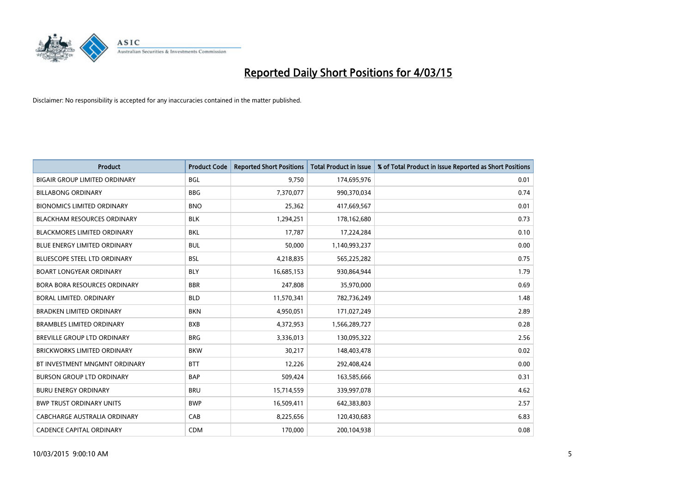

| <b>Product</b>                       | <b>Product Code</b> | <b>Reported Short Positions</b> | <b>Total Product in Issue</b> | % of Total Product in Issue Reported as Short Positions |
|--------------------------------------|---------------------|---------------------------------|-------------------------------|---------------------------------------------------------|
| <b>BIGAIR GROUP LIMITED ORDINARY</b> | <b>BGL</b>          | 9,750                           | 174,695,976                   | 0.01                                                    |
| <b>BILLABONG ORDINARY</b>            | <b>BBG</b>          | 7,370,077                       | 990,370,034                   | 0.74                                                    |
| <b>BIONOMICS LIMITED ORDINARY</b>    | <b>BNO</b>          | 25,362                          | 417,669,567                   | 0.01                                                    |
| <b>BLACKHAM RESOURCES ORDINARY</b>   | <b>BLK</b>          | 1,294,251                       | 178,162,680                   | 0.73                                                    |
| <b>BLACKMORES LIMITED ORDINARY</b>   | <b>BKL</b>          | 17,787                          | 17,224,284                    | 0.10                                                    |
| <b>BLUE ENERGY LIMITED ORDINARY</b>  | <b>BUL</b>          | 50,000                          | 1,140,993,237                 | 0.00                                                    |
| BLUESCOPE STEEL LTD ORDINARY         | <b>BSL</b>          | 4,218,835                       | 565,225,282                   | 0.75                                                    |
| <b>BOART LONGYEAR ORDINARY</b>       | <b>BLY</b>          | 16,685,153                      | 930,864,944                   | 1.79                                                    |
| <b>BORA BORA RESOURCES ORDINARY</b>  | <b>BBR</b>          | 247,808                         | 35,970,000                    | 0.69                                                    |
| <b>BORAL LIMITED, ORDINARY</b>       | <b>BLD</b>          | 11,570,341                      | 782,736,249                   | 1.48                                                    |
| <b>BRADKEN LIMITED ORDINARY</b>      | <b>BKN</b>          | 4,950,051                       | 171,027,249                   | 2.89                                                    |
| <b>BRAMBLES LIMITED ORDINARY</b>     | <b>BXB</b>          | 4,372,953                       | 1,566,289,727                 | 0.28                                                    |
| BREVILLE GROUP LTD ORDINARY          | <b>BRG</b>          | 3,336,013                       | 130,095,322                   | 2.56                                                    |
| <b>BRICKWORKS LIMITED ORDINARY</b>   | <b>BKW</b>          | 30,217                          | 148,403,478                   | 0.02                                                    |
| BT INVESTMENT MNGMNT ORDINARY        | <b>BTT</b>          | 12,226                          | 292,408,424                   | 0.00                                                    |
| <b>BURSON GROUP LTD ORDINARY</b>     | <b>BAP</b>          | 509,424                         | 163,585,666                   | 0.31                                                    |
| <b>BURU ENERGY ORDINARY</b>          | <b>BRU</b>          | 15,714,559                      | 339,997,078                   | 4.62                                                    |
| <b>BWP TRUST ORDINARY UNITS</b>      | <b>BWP</b>          | 16,509,411                      | 642,383,803                   | 2.57                                                    |
| CABCHARGE AUSTRALIA ORDINARY         | CAB                 | 8,225,656                       | 120,430,683                   | 6.83                                                    |
| <b>CADENCE CAPITAL ORDINARY</b>      | <b>CDM</b>          | 170,000                         | 200,104,938                   | 0.08                                                    |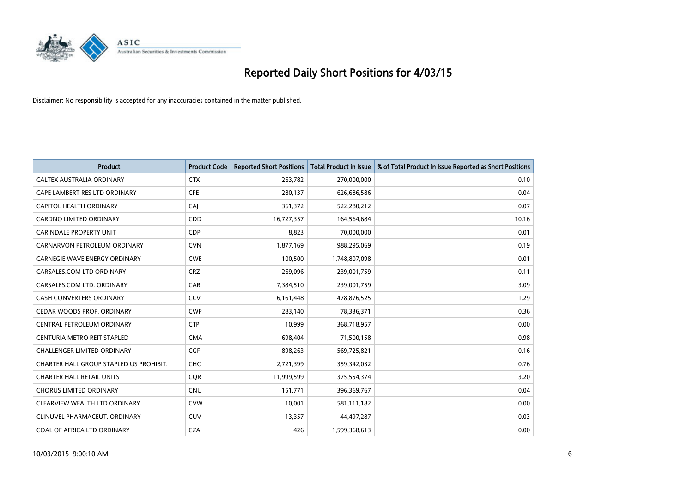

| <b>Product</b>                          | <b>Product Code</b> | <b>Reported Short Positions</b> | <b>Total Product in Issue</b> | % of Total Product in Issue Reported as Short Positions |
|-----------------------------------------|---------------------|---------------------------------|-------------------------------|---------------------------------------------------------|
| CALTEX AUSTRALIA ORDINARY               | <b>CTX</b>          | 263,782                         | 270,000,000                   | 0.10                                                    |
| CAPE LAMBERT RES LTD ORDINARY           | <b>CFE</b>          | 280,137                         | 626,686,586                   | 0.04                                                    |
| CAPITOL HEALTH ORDINARY                 | CAJ                 | 361,372                         | 522,280,212                   | 0.07                                                    |
| <b>CARDNO LIMITED ORDINARY</b>          | CDD                 | 16,727,357                      | 164,564,684                   | 10.16                                                   |
| <b>CARINDALE PROPERTY UNIT</b>          | <b>CDP</b>          | 8,823                           | 70,000,000                    | 0.01                                                    |
| CARNARVON PETROLEUM ORDINARY            | <b>CVN</b>          | 1,877,169                       | 988,295,069                   | 0.19                                                    |
| <b>CARNEGIE WAVE ENERGY ORDINARY</b>    | <b>CWE</b>          | 100,500                         | 1,748,807,098                 | 0.01                                                    |
| CARSALES.COM LTD ORDINARY               | <b>CRZ</b>          | 269,096                         | 239,001,759                   | 0.11                                                    |
| CARSALES.COM LTD. ORDINARY              | CAR                 | 7,384,510                       | 239,001,759                   | 3.09                                                    |
| <b>CASH CONVERTERS ORDINARY</b>         | CCV                 | 6,161,448                       | 478,876,525                   | 1.29                                                    |
| CEDAR WOODS PROP. ORDINARY              | <b>CWP</b>          | 283,140                         | 78,336,371                    | 0.36                                                    |
| CENTRAL PETROLEUM ORDINARY              | <b>CTP</b>          | 10,999                          | 368,718,957                   | 0.00                                                    |
| CENTURIA METRO REIT STAPLED             | <b>CMA</b>          | 698,404                         | 71,500,158                    | 0.98                                                    |
| <b>CHALLENGER LIMITED ORDINARY</b>      | <b>CGF</b>          | 898,263                         | 569,725,821                   | 0.16                                                    |
| CHARTER HALL GROUP STAPLED US PROHIBIT. | CHC                 | 2,721,399                       | 359,342,032                   | 0.76                                                    |
| <b>CHARTER HALL RETAIL UNITS</b>        | <b>COR</b>          | 11,999,599                      | 375,554,374                   | 3.20                                                    |
| <b>CHORUS LIMITED ORDINARY</b>          | <b>CNU</b>          | 151,771                         | 396,369,767                   | 0.04                                                    |
| CLEARVIEW WEALTH LTD ORDINARY           | <b>CVW</b>          | 10,001                          | 581,111,182                   | 0.00                                                    |
| CLINUVEL PHARMACEUT, ORDINARY           | <b>CUV</b>          | 13,357                          | 44,497,287                    | 0.03                                                    |
| COAL OF AFRICA LTD ORDINARY             | <b>CZA</b>          | 426                             | 1,599,368,613                 | 0.00                                                    |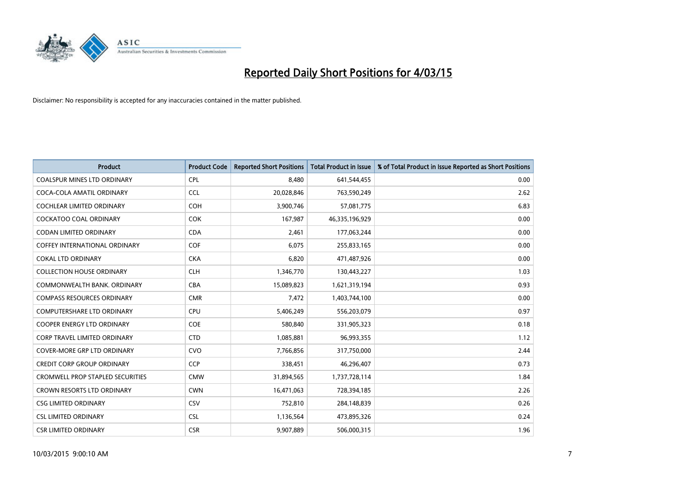

| <b>Product</b>                          | <b>Product Code</b> | <b>Reported Short Positions</b> | <b>Total Product in Issue</b> | % of Total Product in Issue Reported as Short Positions |
|-----------------------------------------|---------------------|---------------------------------|-------------------------------|---------------------------------------------------------|
| <b>COALSPUR MINES LTD ORDINARY</b>      | <b>CPL</b>          | 8,480                           | 641,544,455                   | 0.00                                                    |
| COCA-COLA AMATIL ORDINARY               | <b>CCL</b>          | 20,028,846                      | 763,590,249                   | 2.62                                                    |
| <b>COCHLEAR LIMITED ORDINARY</b>        | <b>COH</b>          | 3,900,746                       | 57,081,775                    | 6.83                                                    |
| COCKATOO COAL ORDINARY                  | <b>COK</b>          | 167,987                         | 46,335,196,929                | 0.00                                                    |
| <b>CODAN LIMITED ORDINARY</b>           | <b>CDA</b>          | 2,461                           | 177,063,244                   | 0.00                                                    |
| <b>COFFEY INTERNATIONAL ORDINARY</b>    | COF                 | 6,075                           | 255,833,165                   | 0.00                                                    |
| <b>COKAL LTD ORDINARY</b>               | <b>CKA</b>          | 6,820                           | 471,487,926                   | 0.00                                                    |
| <b>COLLECTION HOUSE ORDINARY</b>        | <b>CLH</b>          | 1,346,770                       | 130,443,227                   | 1.03                                                    |
| COMMONWEALTH BANK, ORDINARY             | <b>CBA</b>          | 15,089,823                      | 1,621,319,194                 | 0.93                                                    |
| <b>COMPASS RESOURCES ORDINARY</b>       | <b>CMR</b>          | 7,472                           | 1,403,744,100                 | 0.00                                                    |
| COMPUTERSHARE LTD ORDINARY              | <b>CPU</b>          | 5,406,249                       | 556,203,079                   | 0.97                                                    |
| <b>COOPER ENERGY LTD ORDINARY</b>       | <b>COE</b>          | 580,840                         | 331,905,323                   | 0.18                                                    |
| <b>CORP TRAVEL LIMITED ORDINARY</b>     | <b>CTD</b>          | 1,085,881                       | 96,993,355                    | 1.12                                                    |
| <b>COVER-MORE GRP LTD ORDINARY</b>      | <b>CVO</b>          | 7,766,856                       | 317,750,000                   | 2.44                                                    |
| <b>CREDIT CORP GROUP ORDINARY</b>       | <b>CCP</b>          | 338,451                         | 46,296,407                    | 0.73                                                    |
| <b>CROMWELL PROP STAPLED SECURITIES</b> | <b>CMW</b>          | 31,894,565                      | 1,737,728,114                 | 1.84                                                    |
| CROWN RESORTS LTD ORDINARY              | <b>CWN</b>          | 16,471,063                      | 728,394,185                   | 2.26                                                    |
| <b>CSG LIMITED ORDINARY</b>             | CSV                 | 752,810                         | 284,148,839                   | 0.26                                                    |
| <b>CSL LIMITED ORDINARY</b>             | <b>CSL</b>          | 1,136,564                       | 473,895,326                   | 0.24                                                    |
| <b>CSR LIMITED ORDINARY</b>             | <b>CSR</b>          | 9,907,889                       | 506,000,315                   | 1.96                                                    |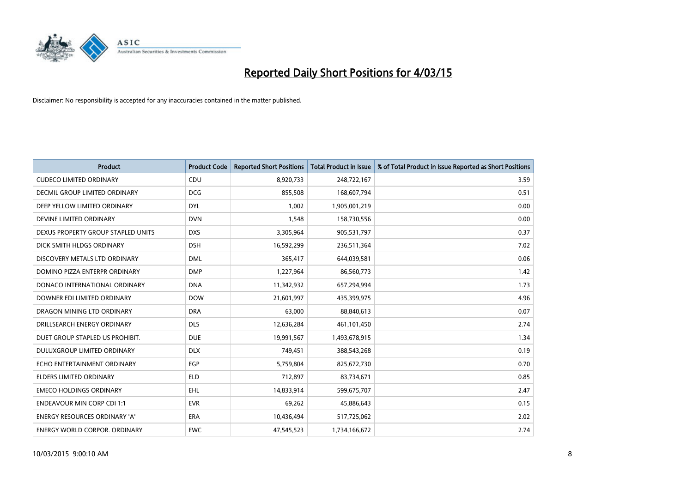

| <b>Product</b>                       | <b>Product Code</b> | <b>Reported Short Positions</b> | <b>Total Product in Issue</b> | % of Total Product in Issue Reported as Short Positions |
|--------------------------------------|---------------------|---------------------------------|-------------------------------|---------------------------------------------------------|
| <b>CUDECO LIMITED ORDINARY</b>       | CDU                 | 8,920,733                       | 248,722,167                   | 3.59                                                    |
| DECMIL GROUP LIMITED ORDINARY        | <b>DCG</b>          | 855,508                         | 168,607,794                   | 0.51                                                    |
| DEEP YELLOW LIMITED ORDINARY         | <b>DYL</b>          | 1,002                           | 1,905,001,219                 | 0.00                                                    |
| DEVINE LIMITED ORDINARY              | <b>DVN</b>          | 1,548                           | 158,730,556                   | 0.00                                                    |
| DEXUS PROPERTY GROUP STAPLED UNITS   | <b>DXS</b>          | 3,305,964                       | 905,531,797                   | 0.37                                                    |
| DICK SMITH HLDGS ORDINARY            | <b>DSH</b>          | 16,592,299                      | 236,511,364                   | 7.02                                                    |
| DISCOVERY METALS LTD ORDINARY        | <b>DML</b>          | 365,417                         | 644,039,581                   | 0.06                                                    |
| DOMINO PIZZA ENTERPR ORDINARY        | <b>DMP</b>          | 1,227,964                       | 86,560,773                    | 1.42                                                    |
| DONACO INTERNATIONAL ORDINARY        | <b>DNA</b>          | 11,342,932                      | 657,294,994                   | 1.73                                                    |
| DOWNER EDI LIMITED ORDINARY          | <b>DOW</b>          | 21,601,997                      | 435,399,975                   | 4.96                                                    |
| DRAGON MINING LTD ORDINARY           | <b>DRA</b>          | 63,000                          | 88,840,613                    | 0.07                                                    |
| DRILLSEARCH ENERGY ORDINARY          | <b>DLS</b>          | 12,636,284                      | 461,101,450                   | 2.74                                                    |
| DUET GROUP STAPLED US PROHIBIT.      | <b>DUE</b>          | 19,991,567                      | 1,493,678,915                 | 1.34                                                    |
| DULUXGROUP LIMITED ORDINARY          | <b>DLX</b>          | 749.451                         | 388,543,268                   | 0.19                                                    |
| ECHO ENTERTAINMENT ORDINARY          | <b>EGP</b>          | 5,759,804                       | 825,672,730                   | 0.70                                                    |
| <b>ELDERS LIMITED ORDINARY</b>       | <b>ELD</b>          | 712,897                         | 83,734,671                    | 0.85                                                    |
| <b>EMECO HOLDINGS ORDINARY</b>       | <b>EHL</b>          | 14,833,914                      | 599,675,707                   | 2.47                                                    |
| <b>ENDEAVOUR MIN CORP CDI 1:1</b>    | <b>EVR</b>          | 69,262                          | 45,886,643                    | 0.15                                                    |
| <b>ENERGY RESOURCES ORDINARY 'A'</b> | <b>ERA</b>          | 10,436,494                      | 517,725,062                   | 2.02                                                    |
| <b>ENERGY WORLD CORPOR, ORDINARY</b> | <b>EWC</b>          | 47,545,523                      | 1,734,166,672                 | 2.74                                                    |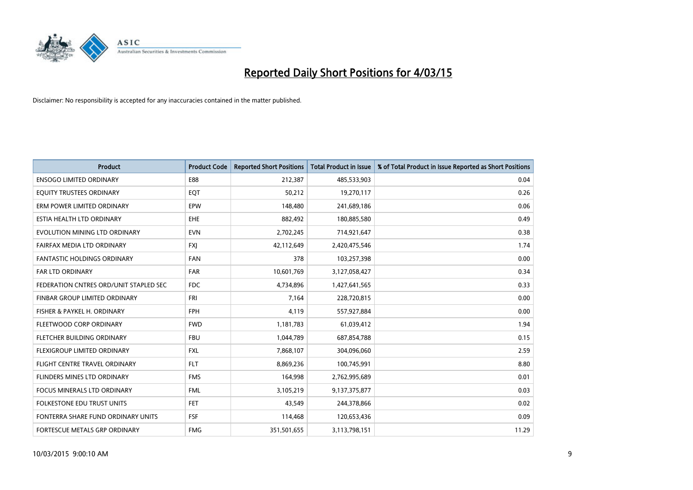

| <b>Product</b>                         | <b>Product Code</b> | <b>Reported Short Positions</b> | <b>Total Product in Issue</b> | % of Total Product in Issue Reported as Short Positions |
|----------------------------------------|---------------------|---------------------------------|-------------------------------|---------------------------------------------------------|
| <b>ENSOGO LIMITED ORDINARY</b>         | E88                 | 212,387                         | 485,533,903                   | 0.04                                                    |
| EQUITY TRUSTEES ORDINARY               | EQT                 | 50,212                          | 19,270,117                    | 0.26                                                    |
| ERM POWER LIMITED ORDINARY             | EPW                 | 148,480                         | 241,689,186                   | 0.06                                                    |
| ESTIA HEALTH LTD ORDINARY              | <b>EHE</b>          | 882,492                         | 180,885,580                   | 0.49                                                    |
| EVOLUTION MINING LTD ORDINARY          | <b>EVN</b>          | 2,702,245                       | 714,921,647                   | 0.38                                                    |
| FAIRFAX MEDIA LTD ORDINARY             | <b>FXI</b>          | 42,112,649                      | 2,420,475,546                 | 1.74                                                    |
| <b>FANTASTIC HOLDINGS ORDINARY</b>     | FAN                 | 378                             | 103,257,398                   | 0.00                                                    |
| FAR LTD ORDINARY                       | <b>FAR</b>          | 10,601,769                      | 3,127,058,427                 | 0.34                                                    |
| FEDERATION CNTRES ORD/UNIT STAPLED SEC | <b>FDC</b>          | 4,734,896                       | 1,427,641,565                 | 0.33                                                    |
| FINBAR GROUP LIMITED ORDINARY          | <b>FRI</b>          | 7,164                           | 228,720,815                   | 0.00                                                    |
| FISHER & PAYKEL H. ORDINARY            | <b>FPH</b>          | 4,119                           | 557,927,884                   | 0.00                                                    |
| FLEETWOOD CORP ORDINARY                | <b>FWD</b>          | 1,181,783                       | 61,039,412                    | 1.94                                                    |
| FLETCHER BUILDING ORDINARY             | <b>FBU</b>          | 1,044,789                       | 687,854,788                   | 0.15                                                    |
| FLEXIGROUP LIMITED ORDINARY            | <b>FXL</b>          | 7,868,107                       | 304,096,060                   | 2.59                                                    |
| FLIGHT CENTRE TRAVEL ORDINARY          | <b>FLT</b>          | 8,869,236                       | 100,745,991                   | 8.80                                                    |
| FLINDERS MINES LTD ORDINARY            | <b>FMS</b>          | 164,998                         | 2,762,995,689                 | 0.01                                                    |
| FOCUS MINERALS LTD ORDINARY            | <b>FML</b>          | 3,105,219                       | 9,137,375,877                 | 0.03                                                    |
| FOLKESTONE EDU TRUST UNITS             | <b>FET</b>          | 43,549                          | 244,378,866                   | 0.02                                                    |
| FONTERRA SHARE FUND ORDINARY UNITS     | <b>FSF</b>          | 114,468                         | 120,653,436                   | 0.09                                                    |
| FORTESCUE METALS GRP ORDINARY          | <b>FMG</b>          | 351,501,655                     | 3,113,798,151                 | 11.29                                                   |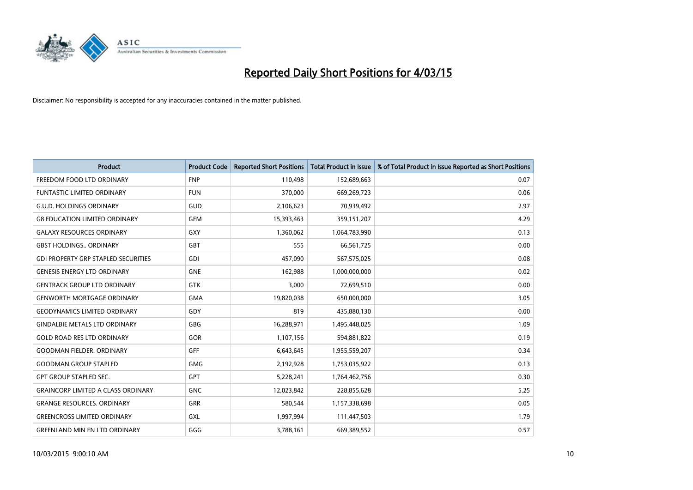

| <b>Product</b>                             | <b>Product Code</b> | <b>Reported Short Positions</b> | <b>Total Product in Issue</b> | % of Total Product in Issue Reported as Short Positions |
|--------------------------------------------|---------------------|---------------------------------|-------------------------------|---------------------------------------------------------|
| FREEDOM FOOD LTD ORDINARY                  | <b>FNP</b>          | 110,498                         | 152,689,663                   | 0.07                                                    |
| FUNTASTIC LIMITED ORDINARY                 | <b>FUN</b>          | 370,000                         | 669,269,723                   | 0.06                                                    |
| <b>G.U.D. HOLDINGS ORDINARY</b>            | <b>GUD</b>          | 2,106,623                       | 70,939,492                    | 2.97                                                    |
| <b>G8 EDUCATION LIMITED ORDINARY</b>       | <b>GEM</b>          | 15,393,463                      | 359,151,207                   | 4.29                                                    |
| <b>GALAXY RESOURCES ORDINARY</b>           | GXY                 | 1,360,062                       | 1,064,783,990                 | 0.13                                                    |
| <b>GBST HOLDINGS., ORDINARY</b>            | <b>GBT</b>          | 555                             | 66,561,725                    | 0.00                                                    |
| <b>GDI PROPERTY GRP STAPLED SECURITIES</b> | <b>GDI</b>          | 457,090                         | 567,575,025                   | 0.08                                                    |
| <b>GENESIS ENERGY LTD ORDINARY</b>         | <b>GNE</b>          | 162,988                         | 1,000,000,000                 | 0.02                                                    |
| <b>GENTRACK GROUP LTD ORDINARY</b>         | <b>GTK</b>          | 3,000                           | 72,699,510                    | 0.00                                                    |
| <b>GENWORTH MORTGAGE ORDINARY</b>          | <b>GMA</b>          | 19,820,038                      | 650,000,000                   | 3.05                                                    |
| <b>GEODYNAMICS LIMITED ORDINARY</b>        | GDY                 | 819                             | 435,880,130                   | 0.00                                                    |
| <b>GINDALBIE METALS LTD ORDINARY</b>       | GBG                 | 16,288,971                      | 1,495,448,025                 | 1.09                                                    |
| <b>GOLD ROAD RES LTD ORDINARY</b>          | GOR                 | 1,107,156                       | 594,881,822                   | 0.19                                                    |
| <b>GOODMAN FIELDER, ORDINARY</b>           | GFF                 | 6,643,645                       | 1,955,559,207                 | 0.34                                                    |
| <b>GOODMAN GROUP STAPLED</b>               | <b>GMG</b>          | 2,192,928                       | 1,753,035,922                 | 0.13                                                    |
| <b>GPT GROUP STAPLED SEC.</b>              | <b>GPT</b>          | 5,228,241                       | 1,764,462,756                 | 0.30                                                    |
| <b>GRAINCORP LIMITED A CLASS ORDINARY</b>  | <b>GNC</b>          | 12,023,842                      | 228,855,628                   | 5.25                                                    |
| <b>GRANGE RESOURCES. ORDINARY</b>          | GRR                 | 580,544                         | 1,157,338,698                 | 0.05                                                    |
| <b>GREENCROSS LIMITED ORDINARY</b>         | <b>GXL</b>          | 1,997,994                       | 111,447,503                   | 1.79                                                    |
| <b>GREENLAND MIN EN LTD ORDINARY</b>       | GGG                 | 3,788,161                       | 669,389,552                   | 0.57                                                    |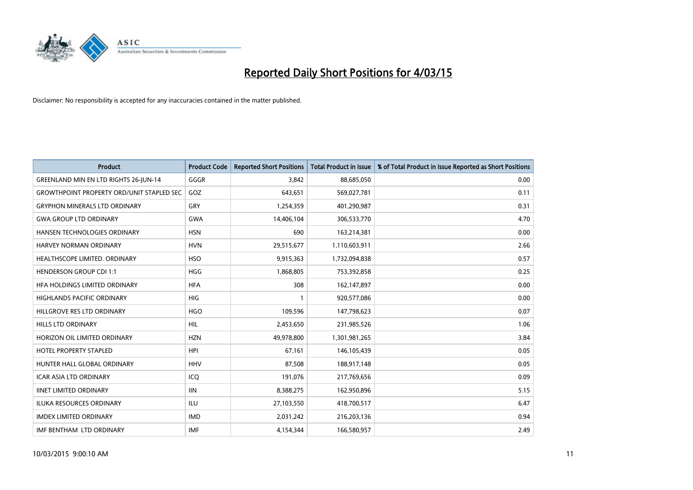

| Product                                          | <b>Product Code</b> | <b>Reported Short Positions</b> | <b>Total Product in Issue</b> | % of Total Product in Issue Reported as Short Positions |
|--------------------------------------------------|---------------------|---------------------------------|-------------------------------|---------------------------------------------------------|
| GREENLAND MIN EN LTD RIGHTS 26-JUN-14            | GGGR                | 3.842                           | 88,685,050                    | 0.00                                                    |
| <b>GROWTHPOINT PROPERTY ORD/UNIT STAPLED SEC</b> | GOZ                 | 643,651                         | 569,027,781                   | 0.11                                                    |
| <b>GRYPHON MINERALS LTD ORDINARY</b>             | GRY                 | 1,254,359                       | 401,290,987                   | 0.31                                                    |
| <b>GWA GROUP LTD ORDINARY</b>                    | <b>GWA</b>          | 14,406,104                      | 306,533,770                   | 4.70                                                    |
| HANSEN TECHNOLOGIES ORDINARY                     | <b>HSN</b>          | 690                             | 163,214,381                   | 0.00                                                    |
| <b>HARVEY NORMAN ORDINARY</b>                    | <b>HVN</b>          | 29,515,677                      | 1,110,603,911                 | 2.66                                                    |
| HEALTHSCOPE LIMITED. ORDINARY                    | <b>HSO</b>          | 9,915,363                       | 1,732,094,838                 | 0.57                                                    |
| <b>HENDERSON GROUP CDI 1:1</b>                   | <b>HGG</b>          | 1,868,805                       | 753,392,858                   | 0.25                                                    |
| HFA HOLDINGS LIMITED ORDINARY                    | <b>HFA</b>          | 308                             | 162,147,897                   | 0.00                                                    |
| <b>HIGHLANDS PACIFIC ORDINARY</b>                | <b>HIG</b>          | 1                               | 920,577,086                   | 0.00                                                    |
| HILLGROVE RES LTD ORDINARY                       | <b>HGO</b>          | 109,596                         | 147,798,623                   | 0.07                                                    |
| <b>HILLS LTD ORDINARY</b>                        | <b>HIL</b>          | 2,453,650                       | 231,985,526                   | 1.06                                                    |
| HORIZON OIL LIMITED ORDINARY                     | <b>HZN</b>          | 49,978,800                      | 1,301,981,265                 | 3.84                                                    |
| <b>HOTEL PROPERTY STAPLED</b>                    | HPI                 | 67,161                          | 146, 105, 439                 | 0.05                                                    |
| HUNTER HALL GLOBAL ORDINARY                      | <b>HHV</b>          | 87,508                          | 188,917,148                   | 0.05                                                    |
| ICAR ASIA LTD ORDINARY                           | ICO                 | 191,076                         | 217,769,656                   | 0.09                                                    |
| <b>IINET LIMITED ORDINARY</b>                    | <b>IIN</b>          | 8,388,275                       | 162,950,896                   | 5.15                                                    |
| <b>ILUKA RESOURCES ORDINARY</b>                  | ILU                 | 27,103,550                      | 418,700,517                   | 6.47                                                    |
| <b>IMDEX LIMITED ORDINARY</b>                    | <b>IMD</b>          | 2,031,242                       | 216,203,136                   | 0.94                                                    |
| IMF BENTHAM LTD ORDINARY                         | <b>IMF</b>          | 4,154,344                       | 166,580,957                   | 2.49                                                    |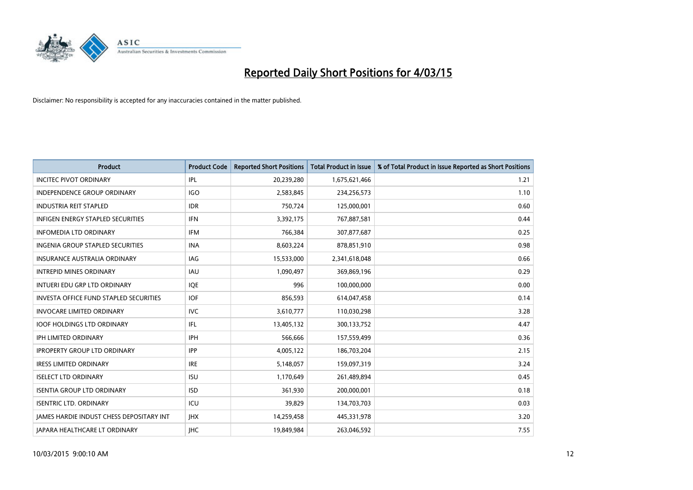

| <b>Product</b>                                  | <b>Product Code</b> | <b>Reported Short Positions</b> | <b>Total Product in Issue</b> | % of Total Product in Issue Reported as Short Positions |
|-------------------------------------------------|---------------------|---------------------------------|-------------------------------|---------------------------------------------------------|
| <b>INCITEC PIVOT ORDINARY</b>                   | IPL                 | 20,239,280                      | 1,675,621,466                 | 1.21                                                    |
| <b>INDEPENDENCE GROUP ORDINARY</b>              | <b>IGO</b>          | 2,583,845                       | 234,256,573                   | 1.10                                                    |
| <b>INDUSTRIA REIT STAPLED</b>                   | <b>IDR</b>          | 750,724                         | 125,000,001                   | 0.60                                                    |
| INFIGEN ENERGY STAPLED SECURITIES               | <b>IFN</b>          | 3,392,175                       | 767,887,581                   | 0.44                                                    |
| <b>INFOMEDIA LTD ORDINARY</b>                   | IFM                 | 766,384                         | 307,877,687                   | 0.25                                                    |
| <b>INGENIA GROUP STAPLED SECURITIES</b>         | <b>INA</b>          | 8,603,224                       | 878,851,910                   | 0.98                                                    |
| INSURANCE AUSTRALIA ORDINARY                    | <b>IAG</b>          | 15,533,000                      | 2,341,618,048                 | 0.66                                                    |
| <b>INTREPID MINES ORDINARY</b>                  | <b>IAU</b>          | 1,090,497                       | 369,869,196                   | 0.29                                                    |
| INTUERI EDU GRP LTD ORDINARY                    | IQE                 | 996                             | 100,000,000                   | 0.00                                                    |
| <b>INVESTA OFFICE FUND STAPLED SECURITIES</b>   | <b>IOF</b>          | 856,593                         | 614,047,458                   | 0.14                                                    |
| <b>INVOCARE LIMITED ORDINARY</b>                | <b>IVC</b>          | 3,610,777                       | 110,030,298                   | 3.28                                                    |
| <b>IOOF HOLDINGS LTD ORDINARY</b>               | IFL                 | 13,405,132                      | 300,133,752                   | 4.47                                                    |
| <b>IPH LIMITED ORDINARY</b>                     | <b>IPH</b>          | 566.666                         | 157,559,499                   | 0.36                                                    |
| <b>IPROPERTY GROUP LTD ORDINARY</b>             | <b>IPP</b>          | 4,005,122                       | 186,703,204                   | 2.15                                                    |
| <b>IRESS LIMITED ORDINARY</b>                   | <b>IRE</b>          | 5,148,057                       | 159,097,319                   | 3.24                                                    |
| <b>ISELECT LTD ORDINARY</b>                     | <b>ISU</b>          | 1,170,649                       | 261,489,894                   | 0.45                                                    |
| <b>ISENTIA GROUP LTD ORDINARY</b>               | <b>ISD</b>          | 361,930                         | 200,000,001                   | 0.18                                                    |
| <b>ISENTRIC LTD. ORDINARY</b>                   | ICU                 | 39,829                          | 134,703,703                   | 0.03                                                    |
| <b>IAMES HARDIE INDUST CHESS DEPOSITARY INT</b> | <b>IHX</b>          | 14,259,458                      | 445,331,978                   | 3.20                                                    |
| JAPARA HEALTHCARE LT ORDINARY                   | <b>IHC</b>          | 19,849,984                      | 263,046,592                   | 7.55                                                    |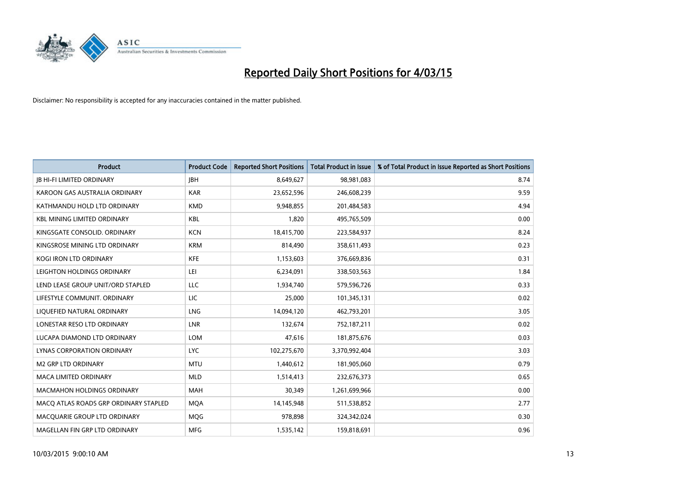

| <b>Product</b>                        | <b>Product Code</b> | <b>Reported Short Positions</b> | <b>Total Product in Issue</b> | % of Total Product in Issue Reported as Short Positions |
|---------------------------------------|---------------------|---------------------------------|-------------------------------|---------------------------------------------------------|
| <b>JB HI-FI LIMITED ORDINARY</b>      | <b>JBH</b>          | 8,649,627                       | 98,981,083                    | 8.74                                                    |
| KAROON GAS AUSTRALIA ORDINARY         | <b>KAR</b>          | 23,652,596                      | 246,608,239                   | 9.59                                                    |
| KATHMANDU HOLD LTD ORDINARY           | <b>KMD</b>          | 9,948,855                       | 201,484,583                   | 4.94                                                    |
| <b>KBL MINING LIMITED ORDINARY</b>    | <b>KBL</b>          | 1,820                           | 495,765,509                   | 0.00                                                    |
| KINGSGATE CONSOLID, ORDINARY          | <b>KCN</b>          | 18,415,700                      | 223,584,937                   | 8.24                                                    |
| KINGSROSE MINING LTD ORDINARY         | <b>KRM</b>          | 814,490                         | 358,611,493                   | 0.23                                                    |
| <b>KOGI IRON LTD ORDINARY</b>         | <b>KFE</b>          | 1,153,603                       | 376,669,836                   | 0.31                                                    |
| LEIGHTON HOLDINGS ORDINARY            | LEI                 | 6,234,091                       | 338,503,563                   | 1.84                                                    |
| LEND LEASE GROUP UNIT/ORD STAPLED     | LLC                 | 1,934,740                       | 579,596,726                   | 0.33                                                    |
| LIFESTYLE COMMUNIT, ORDINARY          | <b>LIC</b>          | 25,000                          | 101,345,131                   | 0.02                                                    |
| LIQUEFIED NATURAL ORDINARY            | LNG                 | 14,094,120                      | 462,793,201                   | 3.05                                                    |
| LONESTAR RESO LTD ORDINARY            | <b>LNR</b>          | 132,674                         | 752,187,211                   | 0.02                                                    |
| LUCAPA DIAMOND LTD ORDINARY           | <b>LOM</b>          | 47,616                          | 181,875,676                   | 0.03                                                    |
| LYNAS CORPORATION ORDINARY            | <b>LYC</b>          | 102,275,670                     | 3,370,992,404                 | 3.03                                                    |
| <b>M2 GRP LTD ORDINARY</b>            | <b>MTU</b>          | 1,440,612                       | 181,905,060                   | 0.79                                                    |
| MACA LIMITED ORDINARY                 | <b>MLD</b>          | 1,514,413                       | 232,676,373                   | 0.65                                                    |
| <b>MACMAHON HOLDINGS ORDINARY</b>     | <b>MAH</b>          | 30,349                          | 1,261,699,966                 | 0.00                                                    |
| MACQ ATLAS ROADS GRP ORDINARY STAPLED | <b>MQA</b>          | 14,145,948                      | 511,538,852                   | 2.77                                                    |
| MACOUARIE GROUP LTD ORDINARY          | <b>MOG</b>          | 978,898                         | 324,342,024                   | 0.30                                                    |
| MAGELLAN FIN GRP LTD ORDINARY         | <b>MFG</b>          | 1,535,142                       | 159,818,691                   | 0.96                                                    |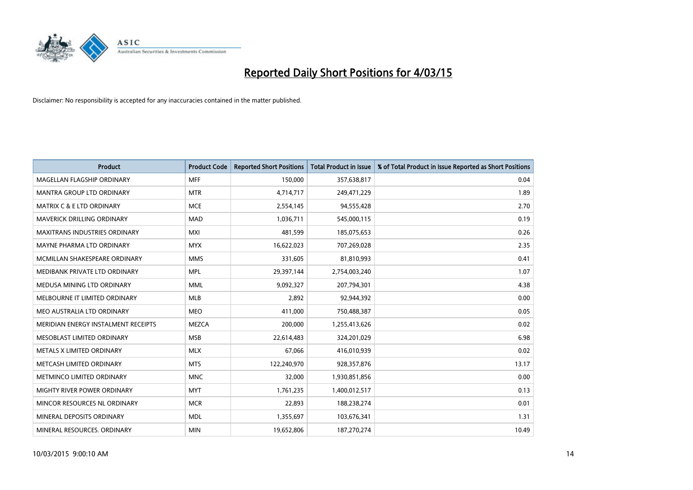

| <b>Product</b>                       | <b>Product Code</b> | <b>Reported Short Positions</b> | <b>Total Product in Issue</b> | % of Total Product in Issue Reported as Short Positions |
|--------------------------------------|---------------------|---------------------------------|-------------------------------|---------------------------------------------------------|
| MAGELLAN FLAGSHIP ORDINARY           | <b>MFF</b>          | 150,000                         | 357,638,817                   | 0.04                                                    |
| MANTRA GROUP LTD ORDINARY            | <b>MTR</b>          | 4,714,717                       | 249,471,229                   | 1.89                                                    |
| <b>MATRIX C &amp; E LTD ORDINARY</b> | <b>MCE</b>          | 2,554,145                       | 94,555,428                    | 2.70                                                    |
| MAVERICK DRILLING ORDINARY           | <b>MAD</b>          | 1,036,711                       | 545,000,115                   | 0.19                                                    |
| <b>MAXITRANS INDUSTRIES ORDINARY</b> | <b>MXI</b>          | 481,599                         | 185,075,653                   | 0.26                                                    |
| MAYNE PHARMA LTD ORDINARY            | <b>MYX</b>          | 16,622,023                      | 707,269,028                   | 2.35                                                    |
| MCMILLAN SHAKESPEARE ORDINARY        | <b>MMS</b>          | 331,605                         | 81,810,993                    | 0.41                                                    |
| MEDIBANK PRIVATE LTD ORDINARY        | <b>MPL</b>          | 29,397,144                      | 2,754,003,240                 | 1.07                                                    |
| MEDUSA MINING LTD ORDINARY           | <b>MML</b>          | 9,092,327                       | 207,794,301                   | 4.38                                                    |
| MELBOURNE IT LIMITED ORDINARY        | <b>MLB</b>          | 2,892                           | 92,944,392                    | 0.00                                                    |
| MEO AUSTRALIA LTD ORDINARY           | <b>MEO</b>          | 411,000                         | 750,488,387                   | 0.05                                                    |
| MERIDIAN ENERGY INSTALMENT RECEIPTS  | <b>MEZCA</b>        | 200,000                         | 1,255,413,626                 | 0.02                                                    |
| MESOBLAST LIMITED ORDINARY           | <b>MSB</b>          | 22,614,483                      | 324,201,029                   | 6.98                                                    |
| METALS X LIMITED ORDINARY            | <b>MLX</b>          | 67,066                          | 416,010,939                   | 0.02                                                    |
| METCASH LIMITED ORDINARY             | <b>MTS</b>          | 122,240,970                     | 928,357,876                   | 13.17                                                   |
| METMINCO LIMITED ORDINARY            | <b>MNC</b>          | 32,000                          | 1,930,851,856                 | 0.00                                                    |
| MIGHTY RIVER POWER ORDINARY          | <b>MYT</b>          | 1,761,235                       | 1,400,012,517                 | 0.13                                                    |
| MINCOR RESOURCES NL ORDINARY         | <b>MCR</b>          | 22,893                          | 188,238,274                   | 0.01                                                    |
| MINERAL DEPOSITS ORDINARY            | <b>MDL</b>          | 1,355,697                       | 103,676,341                   | 1.31                                                    |
| MINERAL RESOURCES. ORDINARY          | <b>MIN</b>          | 19,652,806                      | 187,270,274                   | 10.49                                                   |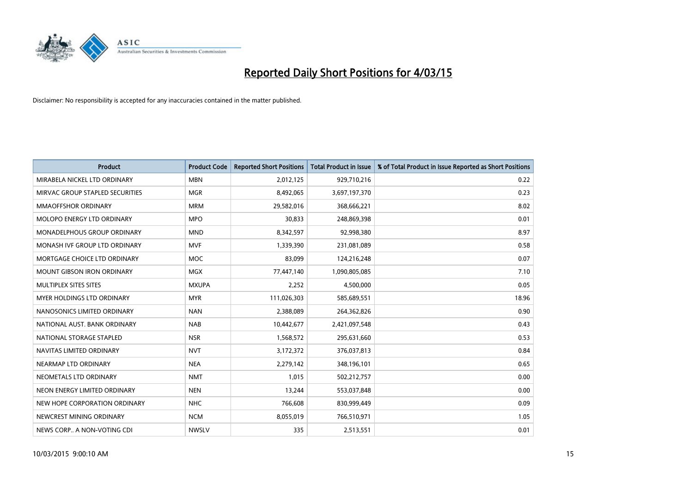

| <b>Product</b>                    | <b>Product Code</b> | <b>Reported Short Positions</b> | <b>Total Product in Issue</b> | % of Total Product in Issue Reported as Short Positions |
|-----------------------------------|---------------------|---------------------------------|-------------------------------|---------------------------------------------------------|
| MIRABELA NICKEL LTD ORDINARY      | <b>MBN</b>          | 2,012,125                       | 929,710,216                   | 0.22                                                    |
| MIRVAC GROUP STAPLED SECURITIES   | <b>MGR</b>          | 8,492,065                       | 3,697,197,370                 | 0.23                                                    |
| <b>MMAOFFSHOR ORDINARY</b>        | <b>MRM</b>          | 29,582,016                      | 368,666,221                   | 8.02                                                    |
| MOLOPO ENERGY LTD ORDINARY        | <b>MPO</b>          | 30,833                          | 248,869,398                   | 0.01                                                    |
| MONADELPHOUS GROUP ORDINARY       | <b>MND</b>          | 8,342,597                       | 92,998,380                    | 8.97                                                    |
| MONASH IVF GROUP LTD ORDINARY     | <b>MVF</b>          | 1,339,390                       | 231,081,089                   | 0.58                                                    |
| MORTGAGE CHOICE LTD ORDINARY      | <b>MOC</b>          | 83.099                          | 124,216,248                   | 0.07                                                    |
| <b>MOUNT GIBSON IRON ORDINARY</b> | <b>MGX</b>          | 77,447,140                      | 1,090,805,085                 | 7.10                                                    |
| MULTIPLEX SITES SITES             | <b>MXUPA</b>        | 2,252                           | 4,500,000                     | 0.05                                                    |
| MYER HOLDINGS LTD ORDINARY        | <b>MYR</b>          | 111,026,303                     | 585,689,551                   | 18.96                                                   |
| NANOSONICS LIMITED ORDINARY       | <b>NAN</b>          | 2,388,089                       | 264,362,826                   | 0.90                                                    |
| NATIONAL AUST, BANK ORDINARY      | <b>NAB</b>          | 10,442,677                      | 2,421,097,548                 | 0.43                                                    |
| NATIONAL STORAGE STAPLED          | <b>NSR</b>          | 1,568,572                       | 295,631,660                   | 0.53                                                    |
| NAVITAS LIMITED ORDINARY          | <b>NVT</b>          | 3,172,372                       | 376,037,813                   | 0.84                                                    |
| NEARMAP LTD ORDINARY              | <b>NEA</b>          | 2,279,142                       | 348,196,101                   | 0.65                                                    |
| NEOMETALS LTD ORDINARY            | <b>NMT</b>          | 1,015                           | 502,212,757                   | 0.00                                                    |
| NEON ENERGY LIMITED ORDINARY      | <b>NEN</b>          | 13,244                          | 553,037,848                   | 0.00                                                    |
| NEW HOPE CORPORATION ORDINARY     | <b>NHC</b>          | 766,608                         | 830,999,449                   | 0.09                                                    |
| NEWCREST MINING ORDINARY          | <b>NCM</b>          | 8,055,019                       | 766,510,971                   | 1.05                                                    |
| NEWS CORP A NON-VOTING CDI        | <b>NWSLV</b>        | 335                             | 2,513,551                     | 0.01                                                    |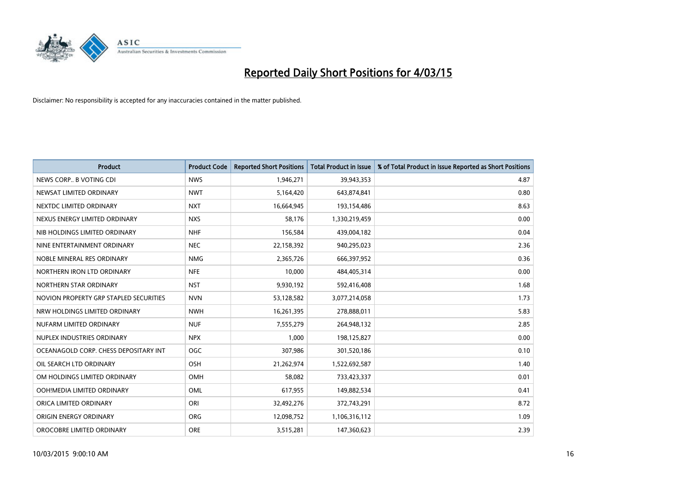

| <b>Product</b>                         | <b>Product Code</b> | <b>Reported Short Positions</b> | <b>Total Product in Issue</b> | % of Total Product in Issue Reported as Short Positions |
|----------------------------------------|---------------------|---------------------------------|-------------------------------|---------------------------------------------------------|
| NEWS CORP B VOTING CDI                 | <b>NWS</b>          | 1,946,271                       | 39,943,353                    | 4.87                                                    |
| NEWSAT LIMITED ORDINARY                | <b>NWT</b>          | 5,164,420                       | 643,874,841                   | 0.80                                                    |
| NEXTDC LIMITED ORDINARY                | <b>NXT</b>          | 16,664,945                      | 193,154,486                   | 8.63                                                    |
| NEXUS ENERGY LIMITED ORDINARY          | <b>NXS</b>          | 58,176                          | 1,330,219,459                 | 0.00                                                    |
| NIB HOLDINGS LIMITED ORDINARY          | <b>NHF</b>          | 156,584                         | 439,004,182                   | 0.04                                                    |
| NINE ENTERTAINMENT ORDINARY            | <b>NEC</b>          | 22,158,392                      | 940,295,023                   | 2.36                                                    |
| NOBLE MINERAL RES ORDINARY             | <b>NMG</b>          | 2,365,726                       | 666,397,952                   | 0.36                                                    |
| NORTHERN IRON LTD ORDINARY             | <b>NFE</b>          | 10,000                          | 484,405,314                   | 0.00                                                    |
| NORTHERN STAR ORDINARY                 | <b>NST</b>          | 9,930,192                       | 592,416,408                   | 1.68                                                    |
| NOVION PROPERTY GRP STAPLED SECURITIES | <b>NVN</b>          | 53,128,582                      | 3,077,214,058                 | 1.73                                                    |
| NRW HOLDINGS LIMITED ORDINARY          | <b>NWH</b>          | 16,261,395                      | 278,888,011                   | 5.83                                                    |
| NUFARM LIMITED ORDINARY                | <b>NUF</b>          | 7,555,279                       | 264,948,132                   | 2.85                                                    |
| NUPLEX INDUSTRIES ORDINARY             | <b>NPX</b>          | 1,000                           | 198,125,827                   | 0.00                                                    |
| OCEANAGOLD CORP. CHESS DEPOSITARY INT  | <b>OGC</b>          | 307,986                         | 301,520,186                   | 0.10                                                    |
| OIL SEARCH LTD ORDINARY                | OSH                 | 21,262,974                      | 1,522,692,587                 | 1.40                                                    |
| OM HOLDINGS LIMITED ORDINARY           | OMH                 | 58,082                          | 733,423,337                   | 0.01                                                    |
| OOH!MEDIA LIMITED ORDINARY             | OML                 | 617,955                         | 149,882,534                   | 0.41                                                    |
| ORICA LIMITED ORDINARY                 | ORI                 | 32,492,276                      | 372,743,291                   | 8.72                                                    |
| ORIGIN ENERGY ORDINARY                 | <b>ORG</b>          | 12,098,752                      | 1,106,316,112                 | 1.09                                                    |
| OROCOBRE LIMITED ORDINARY              | <b>ORE</b>          | 3,515,281                       | 147,360,623                   | 2.39                                                    |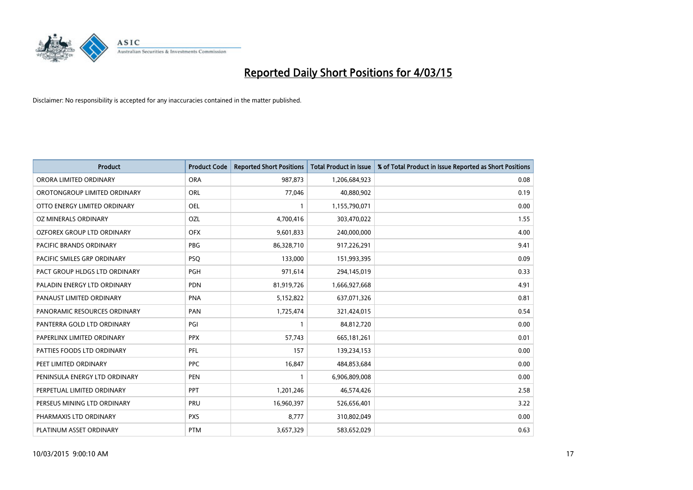

| <b>Product</b>                    | <b>Product Code</b> | <b>Reported Short Positions</b> | <b>Total Product in Issue</b> | % of Total Product in Issue Reported as Short Positions |
|-----------------------------------|---------------------|---------------------------------|-------------------------------|---------------------------------------------------------|
| ORORA LIMITED ORDINARY            | <b>ORA</b>          | 987,873                         | 1,206,684,923                 | 0.08                                                    |
| OROTONGROUP LIMITED ORDINARY      | ORL                 | 77,046                          | 40,880,902                    | 0.19                                                    |
| OTTO ENERGY LIMITED ORDINARY      | <b>OEL</b>          | 1                               | 1,155,790,071                 | 0.00                                                    |
| OZ MINERALS ORDINARY              | <b>OZL</b>          | 4,700,416                       | 303,470,022                   | 1.55                                                    |
| <b>OZFOREX GROUP LTD ORDINARY</b> | <b>OFX</b>          | 9,601,833                       | 240,000,000                   | 4.00                                                    |
| <b>PACIFIC BRANDS ORDINARY</b>    | <b>PBG</b>          | 86,328,710                      | 917,226,291                   | 9.41                                                    |
| PACIFIC SMILES GRP ORDINARY       | <b>PSQ</b>          | 133,000                         | 151,993,395                   | 0.09                                                    |
| PACT GROUP HLDGS LTD ORDINARY     | PGH                 | 971,614                         | 294,145,019                   | 0.33                                                    |
| PALADIN ENERGY LTD ORDINARY       | <b>PDN</b>          | 81,919,726                      | 1,666,927,668                 | 4.91                                                    |
| PANAUST LIMITED ORDINARY          | <b>PNA</b>          | 5,152,822                       | 637,071,326                   | 0.81                                                    |
| PANORAMIC RESOURCES ORDINARY      | PAN                 | 1,725,474                       | 321,424,015                   | 0.54                                                    |
| PANTERRA GOLD LTD ORDINARY        | PGI                 | $\mathbf{1}$                    | 84,812,720                    | 0.00                                                    |
| PAPERLINX LIMITED ORDINARY        | <b>PPX</b>          | 57,743                          | 665, 181, 261                 | 0.01                                                    |
| PATTIES FOODS LTD ORDINARY        | PFL                 | 157                             | 139,234,153                   | 0.00                                                    |
| PEET LIMITED ORDINARY             | <b>PPC</b>          | 16,847                          | 484,853,684                   | 0.00                                                    |
| PENINSULA ENERGY LTD ORDINARY     | <b>PEN</b>          |                                 | 6,906,809,008                 | 0.00                                                    |
| PERPETUAL LIMITED ORDINARY        | <b>PPT</b>          | 1,201,246                       | 46,574,426                    | 2.58                                                    |
| PERSEUS MINING LTD ORDINARY       | <b>PRU</b>          | 16,960,397                      | 526,656,401                   | 3.22                                                    |
| PHARMAXIS LTD ORDINARY            | <b>PXS</b>          | 8,777                           | 310,802,049                   | 0.00                                                    |
| PLATINUM ASSET ORDINARY           | <b>PTM</b>          | 3,657,329                       | 583,652,029                   | 0.63                                                    |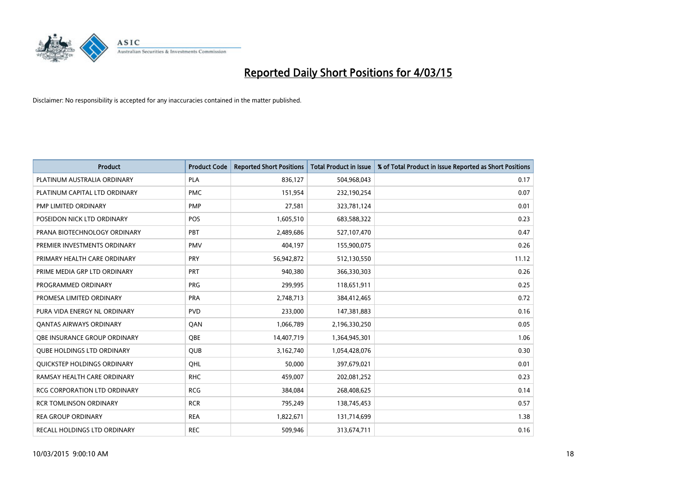

| <b>Product</b>                    | <b>Product Code</b> | <b>Reported Short Positions</b> | <b>Total Product in Issue</b> | % of Total Product in Issue Reported as Short Positions |
|-----------------------------------|---------------------|---------------------------------|-------------------------------|---------------------------------------------------------|
| PLATINUM AUSTRALIA ORDINARY       | <b>PLA</b>          | 836,127                         | 504,968,043                   | 0.17                                                    |
| PLATINUM CAPITAL LTD ORDINARY     | <b>PMC</b>          | 151,954                         | 232,190,254                   | 0.07                                                    |
| PMP LIMITED ORDINARY              | <b>PMP</b>          | 27,581                          | 323,781,124                   | 0.01                                                    |
| POSEIDON NICK LTD ORDINARY        | <b>POS</b>          | 1,605,510                       | 683,588,322                   | 0.23                                                    |
| PRANA BIOTECHNOLOGY ORDINARY      | PBT                 | 2,489,686                       | 527,107,470                   | 0.47                                                    |
| PREMIER INVESTMENTS ORDINARY      | <b>PMV</b>          | 404,197                         | 155,900,075                   | 0.26                                                    |
| PRIMARY HEALTH CARE ORDINARY      | <b>PRY</b>          | 56,942,872                      | 512,130,550                   | 11.12                                                   |
| PRIME MEDIA GRP LTD ORDINARY      | <b>PRT</b>          | 940,380                         | 366,330,303                   | 0.26                                                    |
| PROGRAMMED ORDINARY               | <b>PRG</b>          | 299,995                         | 118,651,911                   | 0.25                                                    |
| PROMESA LIMITED ORDINARY          | <b>PRA</b>          | 2,748,713                       | 384,412,465                   | 0.72                                                    |
| PURA VIDA ENERGY NL ORDINARY      | <b>PVD</b>          | 233,000                         | 147,381,883                   | 0.16                                                    |
| <b>QANTAS AIRWAYS ORDINARY</b>    | QAN                 | 1,066,789                       | 2,196,330,250                 | 0.05                                                    |
| OBE INSURANCE GROUP ORDINARY      | <b>OBE</b>          | 14,407,719                      | 1,364,945,301                 | 1.06                                                    |
| <b>QUBE HOLDINGS LTD ORDINARY</b> | <b>QUB</b>          | 3,162,740                       | 1,054,428,076                 | 0.30                                                    |
| QUICKSTEP HOLDINGS ORDINARY       | OHL                 | 50,000                          | 397,679,021                   | 0.01                                                    |
| RAMSAY HEALTH CARE ORDINARY       | <b>RHC</b>          | 459,007                         | 202,081,252                   | 0.23                                                    |
| RCG CORPORATION LTD ORDINARY      | <b>RCG</b>          | 384,084                         | 268,408,625                   | 0.14                                                    |
| <b>RCR TOMLINSON ORDINARY</b>     | <b>RCR</b>          | 795,249                         | 138,745,453                   | 0.57                                                    |
| <b>REA GROUP ORDINARY</b>         | <b>REA</b>          | 1,822,671                       | 131,714,699                   | 1.38                                                    |
| RECALL HOLDINGS LTD ORDINARY      | <b>REC</b>          | 509,946                         | 313,674,711                   | 0.16                                                    |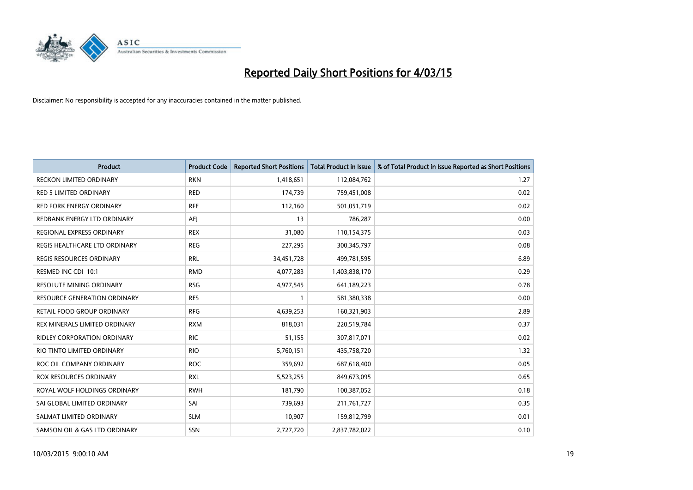

| <b>Product</b>                      | <b>Product Code</b> | <b>Reported Short Positions</b> | <b>Total Product in Issue</b> | % of Total Product in Issue Reported as Short Positions |
|-------------------------------------|---------------------|---------------------------------|-------------------------------|---------------------------------------------------------|
| <b>RECKON LIMITED ORDINARY</b>      | <b>RKN</b>          | 1,418,651                       | 112,084,762                   | 1.27                                                    |
| <b>RED 5 LIMITED ORDINARY</b>       | <b>RED</b>          | 174,739                         | 759,451,008                   | 0.02                                                    |
| <b>RED FORK ENERGY ORDINARY</b>     | <b>RFE</b>          | 112,160                         | 501,051,719                   | 0.02                                                    |
| REDBANK ENERGY LTD ORDINARY         | AEJ                 | 13                              | 786,287                       | 0.00                                                    |
| REGIONAL EXPRESS ORDINARY           | <b>REX</b>          | 31,080                          | 110,154,375                   | 0.03                                                    |
| REGIS HEALTHCARE LTD ORDINARY       | <b>REG</b>          | 227,295                         | 300,345,797                   | 0.08                                                    |
| REGIS RESOURCES ORDINARY            | <b>RRL</b>          | 34,451,728                      | 499,781,595                   | 6.89                                                    |
| RESMED INC CDI 10:1                 | <b>RMD</b>          | 4,077,283                       | 1,403,838,170                 | 0.29                                                    |
| <b>RESOLUTE MINING ORDINARY</b>     | <b>RSG</b>          | 4,977,545                       | 641,189,223                   | 0.78                                                    |
| <b>RESOURCE GENERATION ORDINARY</b> | <b>RES</b>          | 1                               | 581,380,338                   | 0.00                                                    |
| RETAIL FOOD GROUP ORDINARY          | <b>RFG</b>          | 4,639,253                       | 160,321,903                   | 2.89                                                    |
| REX MINERALS LIMITED ORDINARY       | <b>RXM</b>          | 818,031                         | 220,519,784                   | 0.37                                                    |
| RIDLEY CORPORATION ORDINARY         | <b>RIC</b>          | 51,155                          | 307,817,071                   | 0.02                                                    |
| RIO TINTO LIMITED ORDINARY          | <b>RIO</b>          | 5,760,151                       | 435,758,720                   | 1.32                                                    |
| ROC OIL COMPANY ORDINARY            | <b>ROC</b>          | 359,692                         | 687,618,400                   | 0.05                                                    |
| ROX RESOURCES ORDINARY              | <b>RXL</b>          | 5,523,255                       | 849,673,095                   | 0.65                                                    |
| ROYAL WOLF HOLDINGS ORDINARY        | <b>RWH</b>          | 181,790                         | 100,387,052                   | 0.18                                                    |
| SAI GLOBAL LIMITED ORDINARY         | SAI                 | 739,693                         | 211,761,727                   | 0.35                                                    |
| SALMAT LIMITED ORDINARY             | <b>SLM</b>          | 10,907                          | 159,812,799                   | 0.01                                                    |
| SAMSON OIL & GAS LTD ORDINARY       | SSN                 | 2,727,720                       | 2,837,782,022                 | 0.10                                                    |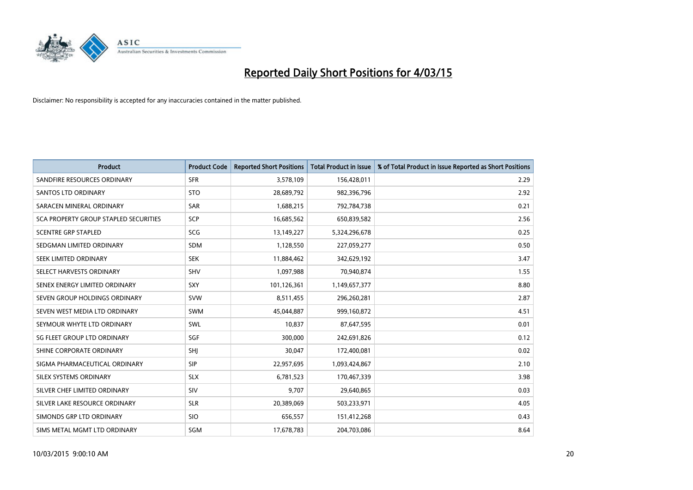

| <b>Product</b>                        | <b>Product Code</b> | <b>Reported Short Positions</b> | <b>Total Product in Issue</b> | % of Total Product in Issue Reported as Short Positions |
|---------------------------------------|---------------------|---------------------------------|-------------------------------|---------------------------------------------------------|
| SANDFIRE RESOURCES ORDINARY           | <b>SFR</b>          | 3,578,109                       | 156,428,011                   | 2.29                                                    |
| <b>SANTOS LTD ORDINARY</b>            | <b>STO</b>          | 28,689,792                      | 982,396,796                   | 2.92                                                    |
| SARACEN MINERAL ORDINARY              | <b>SAR</b>          | 1,688,215                       | 792,784,738                   | 0.21                                                    |
| SCA PROPERTY GROUP STAPLED SECURITIES | <b>SCP</b>          | 16,685,562                      | 650,839,582                   | 2.56                                                    |
| <b>SCENTRE GRP STAPLED</b>            | <b>SCG</b>          | 13,149,227                      | 5,324,296,678                 | 0.25                                                    |
| SEDGMAN LIMITED ORDINARY              | <b>SDM</b>          | 1,128,550                       | 227,059,277                   | 0.50                                                    |
| SEEK LIMITED ORDINARY                 | <b>SEK</b>          | 11,884,462                      | 342,629,192                   | 3.47                                                    |
| SELECT HARVESTS ORDINARY              | <b>SHV</b>          | 1,097,988                       | 70,940,874                    | 1.55                                                    |
| SENEX ENERGY LIMITED ORDINARY         | <b>SXY</b>          | 101,126,361                     | 1,149,657,377                 | 8.80                                                    |
| SEVEN GROUP HOLDINGS ORDINARY         | <b>SVW</b>          | 8,511,455                       | 296,260,281                   | 2.87                                                    |
| SEVEN WEST MEDIA LTD ORDINARY         | SWM                 | 45,044,887                      | 999,160,872                   | 4.51                                                    |
| SEYMOUR WHYTE LTD ORDINARY            | SWL                 | 10,837                          | 87,647,595                    | 0.01                                                    |
| SG FLEET GROUP LTD ORDINARY           | SGF                 | 300,000                         | 242,691,826                   | 0.12                                                    |
| SHINE CORPORATE ORDINARY              | SHI                 | 30,047                          | 172,400,081                   | 0.02                                                    |
| SIGMA PHARMACEUTICAL ORDINARY         | <b>SIP</b>          | 22,957,695                      | 1,093,424,867                 | 2.10                                                    |
| SILEX SYSTEMS ORDINARY                | <b>SLX</b>          | 6,781,523                       | 170,467,339                   | 3.98                                                    |
| SILVER CHEF LIMITED ORDINARY          | SIV                 | 9,707                           | 29,640,865                    | 0.03                                                    |
| SILVER LAKE RESOURCE ORDINARY         | <b>SLR</b>          | 20,389,069                      | 503,233,971                   | 4.05                                                    |
| SIMONDS GRP LTD ORDINARY              | <b>SIO</b>          | 656,557                         | 151,412,268                   | 0.43                                                    |
| SIMS METAL MGMT LTD ORDINARY          | SGM                 | 17,678,783                      | 204,703,086                   | 8.64                                                    |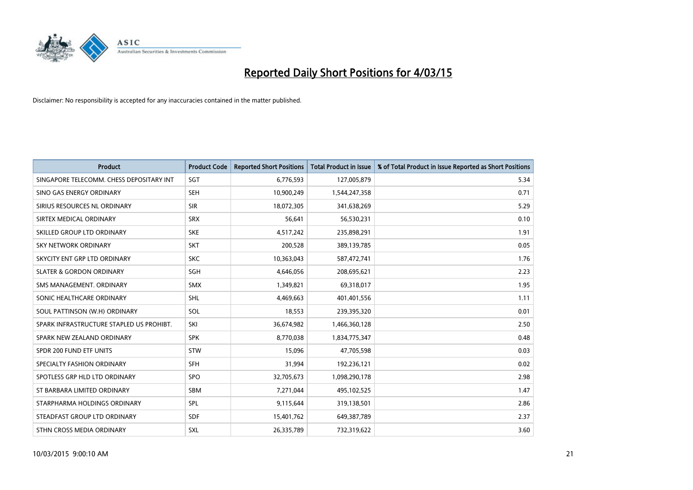

| <b>Product</b>                           | <b>Product Code</b> | <b>Reported Short Positions</b> | <b>Total Product in Issue</b> | % of Total Product in Issue Reported as Short Positions |
|------------------------------------------|---------------------|---------------------------------|-------------------------------|---------------------------------------------------------|
| SINGAPORE TELECOMM. CHESS DEPOSITARY INT | SGT                 | 6,776,593                       | 127,005,879                   | 5.34                                                    |
| SINO GAS ENERGY ORDINARY                 | <b>SEH</b>          | 10,900,249                      | 1,544,247,358                 | 0.71                                                    |
| SIRIUS RESOURCES NL ORDINARY             | <b>SIR</b>          | 18,072,305                      | 341,638,269                   | 5.29                                                    |
| SIRTEX MEDICAL ORDINARY                  | <b>SRX</b>          | 56,641                          | 56,530,231                    | 0.10                                                    |
| SKILLED GROUP LTD ORDINARY               | <b>SKE</b>          | 4,517,242                       | 235,898,291                   | 1.91                                                    |
| SKY NETWORK ORDINARY                     | SKT                 | 200,528                         | 389,139,785                   | 0.05                                                    |
| SKYCITY ENT GRP LTD ORDINARY             | <b>SKC</b>          | 10,363,043                      | 587,472,741                   | 1.76                                                    |
| <b>SLATER &amp; GORDON ORDINARY</b>      | <b>SGH</b>          | 4,646,056                       | 208,695,621                   | 2.23                                                    |
| SMS MANAGEMENT, ORDINARY                 | <b>SMX</b>          | 1,349,821                       | 69,318,017                    | 1.95                                                    |
| SONIC HEALTHCARE ORDINARY                | SHL                 | 4,469,663                       | 401,401,556                   | 1.11                                                    |
| SOUL PATTINSON (W.H) ORDINARY            | SOL                 | 18,553                          | 239,395,320                   | 0.01                                                    |
| SPARK INFRASTRUCTURE STAPLED US PROHIBT. | SKI                 | 36,674,982                      | 1,466,360,128                 | 2.50                                                    |
| SPARK NEW ZEALAND ORDINARY               | <b>SPK</b>          | 8,770,038                       | 1,834,775,347                 | 0.48                                                    |
| SPDR 200 FUND ETF UNITS                  | <b>STW</b>          | 15,096                          | 47,705,598                    | 0.03                                                    |
| SPECIALTY FASHION ORDINARY               | SFH                 | 31,994                          | 192,236,121                   | 0.02                                                    |
| SPOTLESS GRP HLD LTD ORDINARY            | <b>SPO</b>          | 32,705,673                      | 1,098,290,178                 | 2.98                                                    |
| ST BARBARA LIMITED ORDINARY              | SBM                 | 7,271,044                       | 495,102,525                   | 1.47                                                    |
| STARPHARMA HOLDINGS ORDINARY             | <b>SPL</b>          | 9,115,644                       | 319,138,501                   | 2.86                                                    |
| STEADFAST GROUP LTD ORDINARY             | <b>SDF</b>          | 15,401,762                      | 649,387,789                   | 2.37                                                    |
| STHN CROSS MEDIA ORDINARY                | <b>SXL</b>          | 26,335,789                      | 732,319,622                   | 3.60                                                    |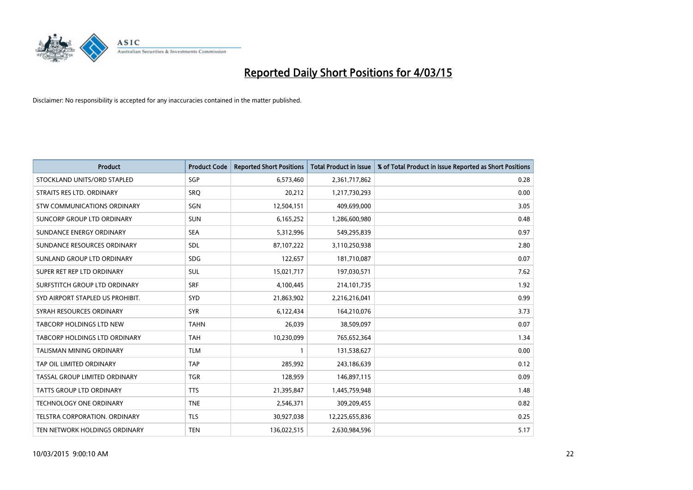

| <b>Product</b>                       | <b>Product Code</b> | <b>Reported Short Positions</b> | <b>Total Product in Issue</b> | % of Total Product in Issue Reported as Short Positions |
|--------------------------------------|---------------------|---------------------------------|-------------------------------|---------------------------------------------------------|
| STOCKLAND UNITS/ORD STAPLED          | SGP                 | 6,573,460                       | 2,361,717,862                 | 0.28                                                    |
| STRAITS RES LTD. ORDINARY            | <b>SRQ</b>          | 20,212                          | 1,217,730,293                 | 0.00                                                    |
| STW COMMUNICATIONS ORDINARY          | SGN                 | 12,504,151                      | 409,699,000                   | 3.05                                                    |
| SUNCORP GROUP LTD ORDINARY           | <b>SUN</b>          | 6,165,252                       | 1,286,600,980                 | 0.48                                                    |
| SUNDANCE ENERGY ORDINARY             | <b>SEA</b>          | 5,312,996                       | 549,295,839                   | 0.97                                                    |
| SUNDANCE RESOURCES ORDINARY          | SDL                 | 87,107,222                      | 3,110,250,938                 | 2.80                                                    |
| SUNLAND GROUP LTD ORDINARY           | <b>SDG</b>          | 122,657                         | 181,710,087                   | 0.07                                                    |
| SUPER RET REP LTD ORDINARY           | SUL                 | 15,021,717                      | 197,030,571                   | 7.62                                                    |
| SURFSTITCH GROUP LTD ORDINARY        | <b>SRF</b>          | 4,100,445                       | 214, 101, 735                 | 1.92                                                    |
| SYD AIRPORT STAPLED US PROHIBIT.     | SYD                 | 21,863,902                      | 2,216,216,041                 | 0.99                                                    |
| SYRAH RESOURCES ORDINARY             | <b>SYR</b>          | 6,122,434                       | 164,210,076                   | 3.73                                                    |
| TABCORP HOLDINGS LTD NEW             | <b>TAHN</b>         | 26,039                          | 38,509,097                    | 0.07                                                    |
| <b>TABCORP HOLDINGS LTD ORDINARY</b> | <b>TAH</b>          | 10,230,099                      | 765,652,364                   | 1.34                                                    |
| <b>TALISMAN MINING ORDINARY</b>      | <b>TLM</b>          | $\mathbf{1}$                    | 131,538,627                   | 0.00                                                    |
| TAP OIL LIMITED ORDINARY             | <b>TAP</b>          | 285,992                         | 243,186,639                   | 0.12                                                    |
| TASSAL GROUP LIMITED ORDINARY        | <b>TGR</b>          | 128,959                         | 146,897,115                   | 0.09                                                    |
| TATTS GROUP LTD ORDINARY             | <b>TTS</b>          | 21,395,847                      | 1,445,759,948                 | 1.48                                                    |
| <b>TECHNOLOGY ONE ORDINARY</b>       | <b>TNE</b>          | 2,546,371                       | 309,209,455                   | 0.82                                                    |
| TELSTRA CORPORATION, ORDINARY        | <b>TLS</b>          | 30,927,038                      | 12,225,655,836                | 0.25                                                    |
| TEN NETWORK HOLDINGS ORDINARY        | <b>TEN</b>          | 136,022,515                     | 2,630,984,596                 | 5.17                                                    |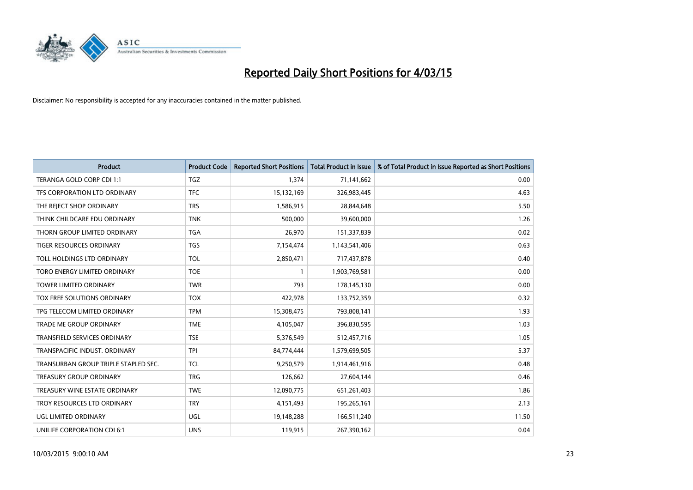

| <b>Product</b>                       | <b>Product Code</b> | <b>Reported Short Positions</b> | <b>Total Product in Issue</b> | % of Total Product in Issue Reported as Short Positions |
|--------------------------------------|---------------------|---------------------------------|-------------------------------|---------------------------------------------------------|
| TERANGA GOLD CORP CDI 1:1            | <b>TGZ</b>          | 1,374                           | 71,141,662                    | 0.00                                                    |
| TFS CORPORATION LTD ORDINARY         | <b>TFC</b>          | 15,132,169                      | 326,983,445                   | 4.63                                                    |
| THE REJECT SHOP ORDINARY             | <b>TRS</b>          | 1,586,915                       | 28,844,648                    | 5.50                                                    |
| THINK CHILDCARE EDU ORDINARY         | <b>TNK</b>          | 500,000                         | 39,600,000                    | 1.26                                                    |
| THORN GROUP LIMITED ORDINARY         | <b>TGA</b>          | 26,970                          | 151,337,839                   | 0.02                                                    |
| <b>TIGER RESOURCES ORDINARY</b>      | <b>TGS</b>          | 7,154,474                       | 1,143,541,406                 | 0.63                                                    |
| TOLL HOLDINGS LTD ORDINARY           | <b>TOL</b>          | 2,850,471                       | 717,437,878                   | 0.40                                                    |
| TORO ENERGY LIMITED ORDINARY         | <b>TOE</b>          | $\mathbf{1}$                    | 1,903,769,581                 | 0.00                                                    |
| <b>TOWER LIMITED ORDINARY</b>        | <b>TWR</b>          | 793                             | 178,145,130                   | 0.00                                                    |
| TOX FREE SOLUTIONS ORDINARY          | <b>TOX</b>          | 422,978                         | 133,752,359                   | 0.32                                                    |
| TPG TELECOM LIMITED ORDINARY         | <b>TPM</b>          | 15,308,475                      | 793,808,141                   | 1.93                                                    |
| <b>TRADE ME GROUP ORDINARY</b>       | <b>TME</b>          | 4,105,047                       | 396,830,595                   | 1.03                                                    |
| TRANSFIELD SERVICES ORDINARY         | <b>TSE</b>          | 5,376,549                       | 512,457,716                   | 1.05                                                    |
| TRANSPACIFIC INDUST, ORDINARY        | TPI                 | 84,774,444                      | 1,579,699,505                 | 5.37                                                    |
| TRANSURBAN GROUP TRIPLE STAPLED SEC. | <b>TCL</b>          | 9,250,579                       | 1,914,461,916                 | 0.48                                                    |
| TREASURY GROUP ORDINARY              | <b>TRG</b>          | 126,662                         | 27,604,144                    | 0.46                                                    |
| TREASURY WINE ESTATE ORDINARY        | <b>TWE</b>          | 12,090,775                      | 651,261,403                   | 1.86                                                    |
| TROY RESOURCES LTD ORDINARY          | <b>TRY</b>          | 4,151,493                       | 195,265,161                   | 2.13                                                    |
| UGL LIMITED ORDINARY                 | UGL                 | 19,148,288                      | 166,511,240                   | 11.50                                                   |
| UNILIFE CORPORATION CDI 6:1          | <b>UNS</b>          | 119,915                         | 267,390,162                   | 0.04                                                    |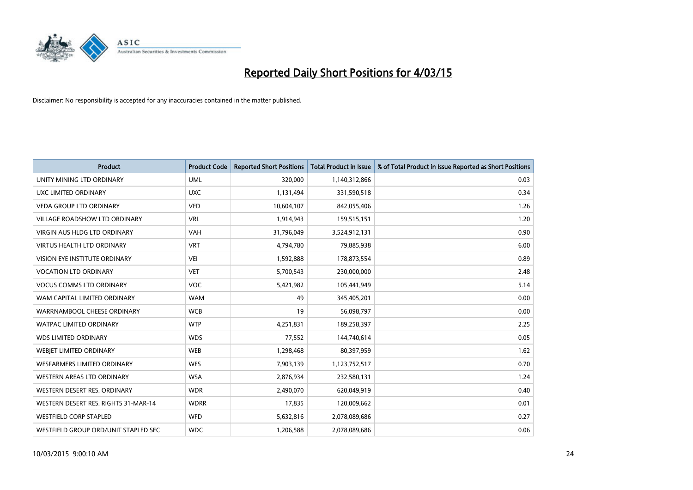

| <b>Product</b>                       | <b>Product Code</b> | <b>Reported Short Positions</b> | <b>Total Product in Issue</b> | % of Total Product in Issue Reported as Short Positions |
|--------------------------------------|---------------------|---------------------------------|-------------------------------|---------------------------------------------------------|
| UNITY MINING LTD ORDINARY            | <b>UML</b>          | 320,000                         | 1,140,312,866                 | 0.03                                                    |
| UXC LIMITED ORDINARY                 | <b>UXC</b>          | 1,131,494                       | 331,590,518                   | 0.34                                                    |
| <b>VEDA GROUP LTD ORDINARY</b>       | <b>VED</b>          | 10,604,107                      | 842,055,406                   | 1.26                                                    |
| <b>VILLAGE ROADSHOW LTD ORDINARY</b> | <b>VRL</b>          | 1,914,943                       | 159,515,151                   | 1.20                                                    |
| <b>VIRGIN AUS HLDG LTD ORDINARY</b>  | <b>VAH</b>          | 31,796,049                      | 3,524,912,131                 | 0.90                                                    |
| <b>VIRTUS HEALTH LTD ORDINARY</b>    | <b>VRT</b>          | 4,794,780                       | 79,885,938                    | 6.00                                                    |
| <b>VISION EYE INSTITUTE ORDINARY</b> | <b>VEI</b>          | 1,592,888                       | 178,873,554                   | 0.89                                                    |
| <b>VOCATION LTD ORDINARY</b>         | <b>VET</b>          | 5,700,543                       | 230,000,000                   | 2.48                                                    |
| <b>VOCUS COMMS LTD ORDINARY</b>      | VOC                 | 5,421,982                       | 105,441,949                   | 5.14                                                    |
| WAM CAPITAL LIMITED ORDINARY         | <b>WAM</b>          | 49                              | 345,405,201                   | 0.00                                                    |
| WARRNAMBOOL CHEESE ORDINARY          | <b>WCB</b>          | 19                              | 56,098,797                    | 0.00                                                    |
| <b>WATPAC LIMITED ORDINARY</b>       | <b>WTP</b>          | 4,251,831                       | 189,258,397                   | 2.25                                                    |
| <b>WDS LIMITED ORDINARY</b>          | <b>WDS</b>          | 77,552                          | 144,740,614                   | 0.05                                                    |
| WEBIET LIMITED ORDINARY              | <b>WEB</b>          | 1,298,468                       | 80,397,959                    | 1.62                                                    |
| <b>WESFARMERS LIMITED ORDINARY</b>   | <b>WES</b>          | 7,903,139                       | 1,123,752,517                 | 0.70                                                    |
| <b>WESTERN AREAS LTD ORDINARY</b>    | <b>WSA</b>          | 2,876,934                       | 232,580,131                   | 1.24                                                    |
| WESTERN DESERT RES. ORDINARY         | <b>WDR</b>          | 2,490,070                       | 620,049,919                   | 0.40                                                    |
| WESTERN DESERT RES. RIGHTS 31-MAR-14 | <b>WDRR</b>         | 17,835                          | 120,009,662                   | 0.01                                                    |
| <b>WESTFIELD CORP STAPLED</b>        | <b>WFD</b>          | 5,632,816                       | 2,078,089,686                 | 0.27                                                    |
| WESTFIELD GROUP ORD/UNIT STAPLED SEC | <b>WDC</b>          | 1,206,588                       | 2,078,089,686                 | 0.06                                                    |